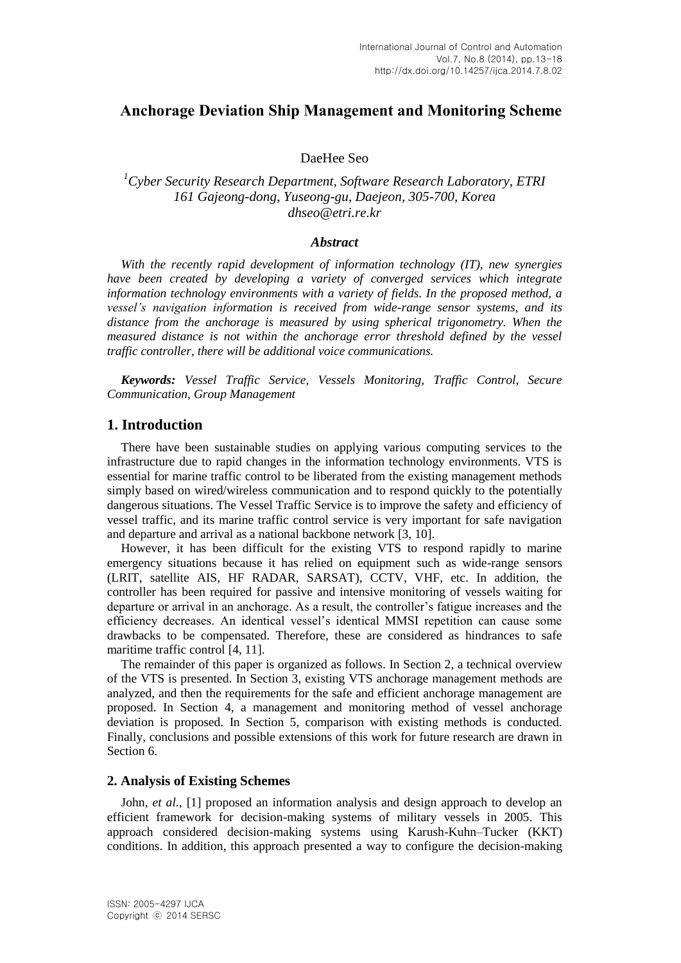# **Anchorage Deviation Ship Management and Monitoring Scheme**

## DaeHee Seo

## *<sup>1</sup>Cyber Security Research Department, Software Research Laboratory, ETRI 161 Gajeong-dong, Yuseong-gu, Daejeon, 305-700, Korea dhseo@etri.re.kr*

### *Abstract*

*With the recently rapid development of information technology (IT), new synergies have been created by developing a variety of converged services which integrate information technology environments with a variety of fields. In the proposed method, a vessel's navigation information is received from wide-range sensor systems, and its*  distance from the anchorage is measured by using spherical trigonometry. When the *measured distance is not within the anchorage error threshold defined by the vessel traffic controller, there will be additional voice communications.*

*Keywords: Vessel Traffic Service, Vessels Monitoring, Traffic Control, Secure Communication, Group Management*

## **1. Introduction**

There have been sustainable studies on applying various computing services to the infrastructure due to rapid changes in the information technology environments. VTS is essential for marine traffic control to be liberated from the existing management methods simply based on wired/wireless communication and to respond quickly to the potentially dangerous situations. The Vessel Traffic Service is to improve the safety and efficiency of vessel traffic, and its marine traffic control service is very important for safe navigation and departure and arrival as a national backbone network [3, 10].

However, it has been difficult for the existing VTS to respond rapidly to marine emergency situations because it has relied on equipment such as wide-range sensors (LRIT, satellite AIS, HF RADAR, SARSAT), CCTV, VHF, etc. In addition, the controller has been required for passive and intensive monitoring of vessels waiting for departure or arrival in an anchorage. As a result, the controller's fatigue increases and the efficiency decreases. An identical vessel's identical MMSI repetition can cause some drawbacks to be compensated. Therefore, these are considered as hindrances to safe maritime traffic control [4, 11].

The remainder of this paper is organized as follows. In Section 2, a technical overview of the VTS is presented. In Section 3, existing VTS anchorage management methods are analyzed, and then the requirements for the safe and efficient anchorage management are proposed. In Section 4, a management and monitoring method of vessel anchorage deviation is proposed. In Section 5, comparison with existing methods is conducted. Finally, conclusions and possible extensions of this work for future research are drawn in Section 6.

### **2. Analysis of Existing Schemes**

John, *et al.*, [1] proposed an information analysis and design approach to develop an efficient framework for decision-making systems of military vessels in 2005. This approach considered decision-making systems using Karush-Kuhn–Tucker (KKT) conditions. In addition, this approach presented a way to configure the decision-making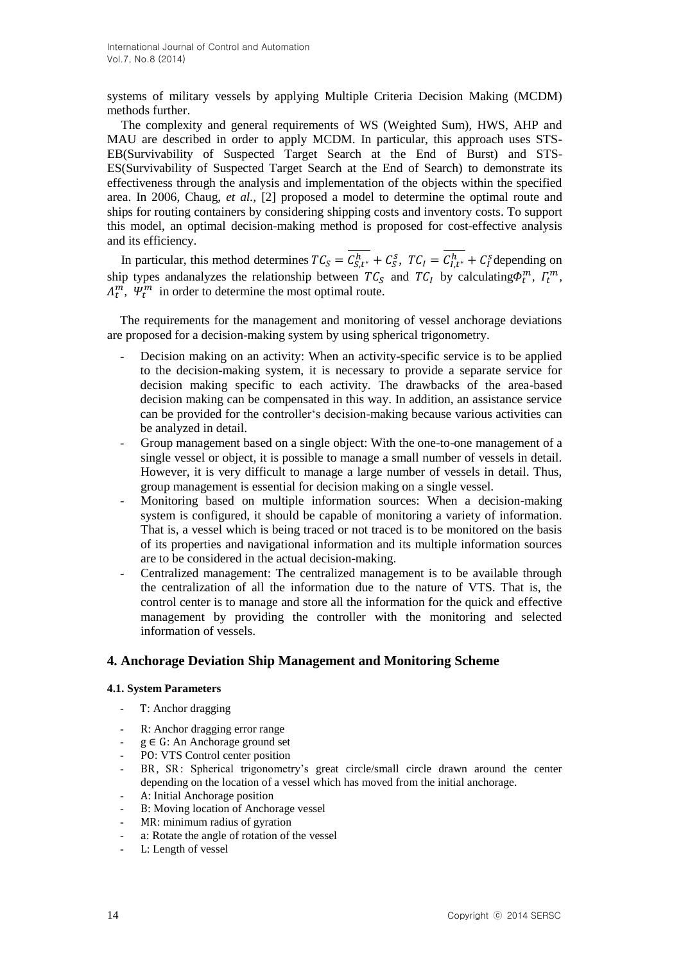systems of military vessels by applying Multiple Criteria Decision Making (MCDM) methods further.

The complexity and general requirements of WS (Weighted Sum), HWS, AHP and MAU are described in order to apply MCDM. In particular, this approach uses STS-EB(Survivability of Suspected Target Search at the End of Burst) and STS-ES(Survivability of Suspected Target Search at the End of Search) to demonstrate its effectiveness through the analysis and implementation of the objects within the specified area. In 2006, Chaug, *et al.*, [2] proposed a model to determine the optimal route and ships for routing containers by considering shipping costs and inventory costs. To support this model, an optimal decision-making method is proposed for cost-effective analysis and its efficiency.

In particular, this method determines  $TC_S = C_{S,t^*}^h + C_S^S$ ,  $TC_I = C_{I,t^*}^h + C_I^S$  depending on ship types andanalyzes the relationship between  $TC_S$  and  $TC_I$  by calculating  $\Phi_t^m$ ,  $\Gamma_t^m$ ,  $A_t^m$ ,  $\Psi_t^m$  in order to determine the most optimal route.

The requirements for the management and monitoring of vessel anchorage deviations are proposed for a decision-making system by using spherical trigonometry.

- Decision making on an activity: When an activity-specific service is to be applied to the decision-making system, it is necessary to provide a separate service for decision making specific to each activity. The drawbacks of the area-based decision making can be compensated in this way. In addition, an assistance service can be provided for the controller's decision-making because various activities can be analyzed in detail.
- Group management based on a single object: With the one-to-one management of a single vessel or object, it is possible to manage a small number of vessels in detail. However, it is very difficult to manage a large number of vessels in detail. Thus, group management is essential for decision making on a single vessel.
- Monitoring based on multiple information sources: When a decision-making system is configured, it should be capable of monitoring a variety of information. That is, a vessel which is being traced or not traced is to be monitored on the basis of its properties and navigational information and its multiple information sources are to be considered in the actual decision-making.
- Centralized management: The centralized management is to be available through the centralization of all the information due to the nature of VTS. That is, the control center is to manage and store all the information for the quick and effective management by providing the controller with the monitoring and selected information of vessels.

## **4. Anchorage Deviation Ship Management and Monitoring Scheme**

### **4.1. System Parameters**

- T: Anchor dragging
- R: Anchor dragging error range
- $g \in G$ : An Anchorage ground set
- PO: VTS Control center position
- BR, SR: Spherical trigonometry's great circle/small circle drawn around the center depending on the location of a vessel which has moved from the initial anchorage.
- A: Initial Anchorage position
- B: Moving location of Anchorage vessel
- MR: minimum radius of gyration
- a: Rotate the angle of rotation of the vessel
- L: Length of vessel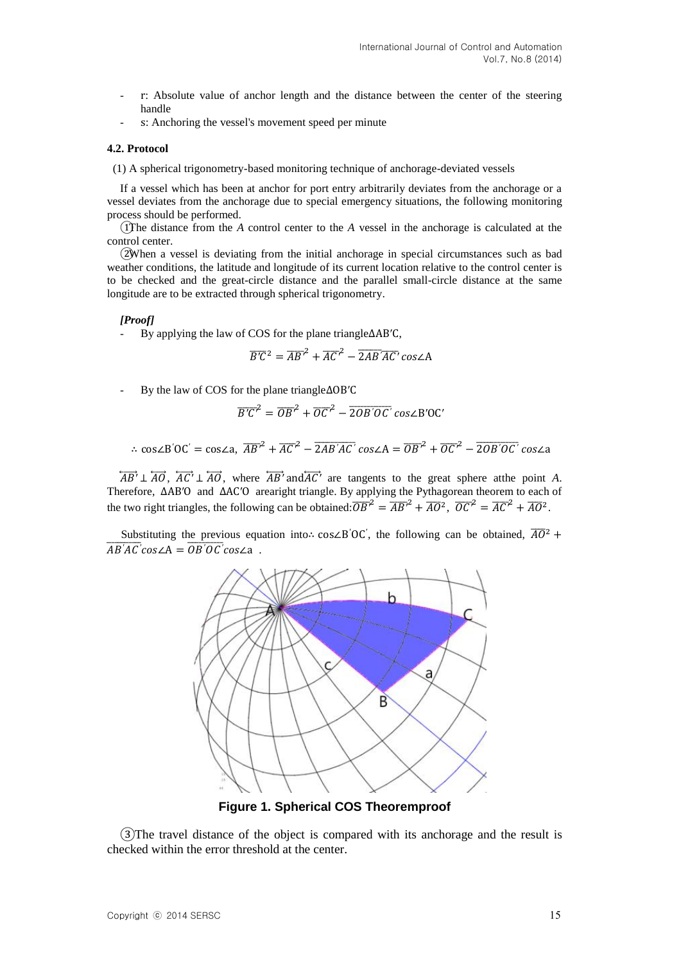- r: Absolute value of anchor length and the distance between the center of the steering handle
- s: Anchoring the vessel's movement speed per minute

#### **4.2. Protocol**

(1) A spherical trigonometry-based monitoring technique of anchorage-deviated vessels

If a vessel which has been at anchor for port entry arbitrarily deviates from the anchorage or a vessel deviates from the anchorage due to special emergency situations, the following monitoring process should be performed.

①The distance from the *A* control center to the *A* vessel in the anchorage is calculated at the control center.

②When a vessel is deviating from the initial anchorage in special circumstances such as bad weather conditions, the latitude and longitude of its current location relative to the control center is to be checked and the great-circle distance and the parallel small-circle distance at the same longitude are to be extracted through spherical trigonometry.

#### *[Proof]*

By applying the law of COS for the plane triangle  $\triangle AB'C$ ,

$$
\overline{B'C^2} = \overline{AB'}^2 + \overline{AC'}^2 - \overline{2AB'}\overline{AC'}\cos\angle A
$$

By the law of COS for the plane triangle  $\triangle$ OB'C

$$
\overline{B'C'}^2 = \overline{OB'}^2 + \overline{OC'}^2 - \overline{2OB'O'C'} \cos\angle B'OC'
$$

∴  $\cos\angle B'OC' = \cos\angle A$ ,  $\overline{AB'}^2 + \overline{AC'}^2 - \overline{2AB'AC'} \cos\angle A = \overline{OB'}^2 + \overline{OC'}^2 - \overline{2OB'OC'}$ 

 $\overleftrightarrow{AB'} \perp \overleftrightarrow{AO}$ ,  $\overleftrightarrow{AC'} \perp \overleftrightarrow{AO}$ , where  $\overleftrightarrow{AB'}$  and  $\overleftrightarrow{AC'}$  are tangents to the great sphere atthe point A. Therefore,  $\triangle AB'O$  and  $\triangle AC'O$  arearight triangle. By applying the Pythagorean theorem to each of the two right triangles, the following can be obtained:  $\overline{OB'}^2 = \overline{AB'}^2 + \overline{AO}^2$ ,  $\overline{OC'}^2 = \overline{AC'}^2 + \overline{AO}^2$ .

Substituting the previous equation into cos $\angle B'O'C'$ , the following can be obtained,  $\overline{AO}^2$  $\overline{AB'AC'}cos\angle A = \overline{OB'OC'}cos\angle a$ .



**Figure 1. Spherical COS Theoremproof**

③The travel distance of the object is compared with its anchorage and the result is checked within the error threshold at the center.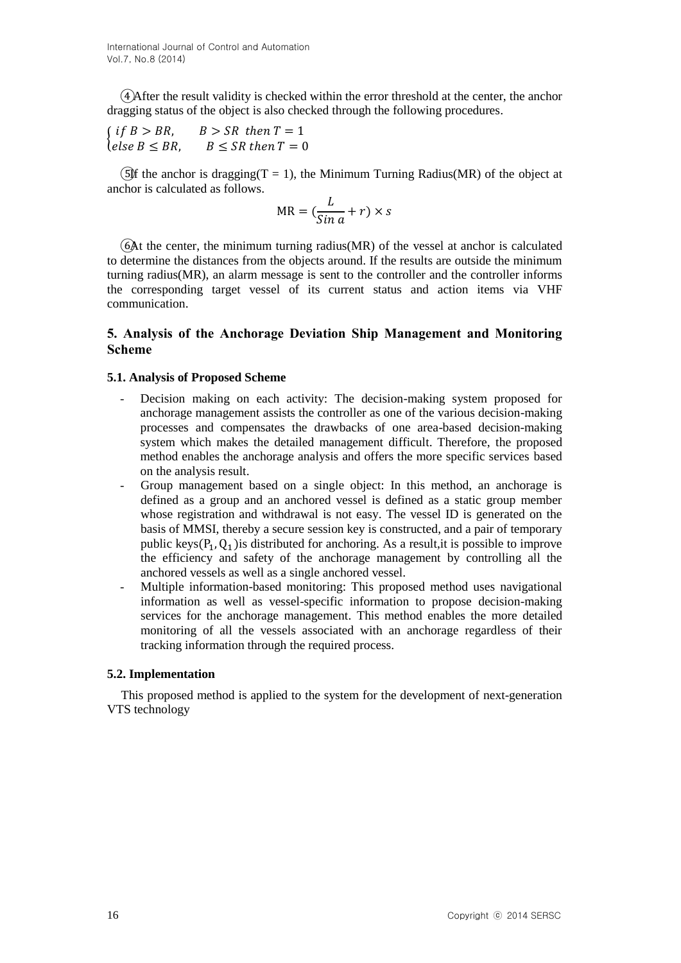④After the result validity is checked within the error threshold at the center, the anchor dragging status of the object is also checked through the following procedures.

$$
\begin{cases} if B > BR, & B > SR \ then T = 1\\ else B \leq BR, & B \leq SR \ then T = 0 \end{cases}
$$

(5) fthe anchor is dragging  $(T = 1)$ , the Minimum Turning Radius (MR) of the object at anchor is calculated as follows.

$$
MR = (\frac{L}{\sin a} + r) \times s
$$

⑥At the center, the minimum turning radius(MR) of the vessel at anchor is calculated to determine the distances from the objects around. If the results are outside the minimum turning radius(MR), an alarm message is sent to the controller and the controller informs the corresponding target vessel of its current status and action items via VHF communication.

## **5. Analysis of the Anchorage Deviation Ship Management and Monitoring Scheme**

### **5.1. Analysis of Proposed Scheme**

- Decision making on each activity: The decision-making system proposed for anchorage management assists the controller as one of the various decision-making processes and compensates the drawbacks of one area-based decision-making system which makes the detailed management difficult. Therefore, the proposed method enables the anchorage analysis and offers the more specific services based on the analysis result.
- Group management based on a single object: In this method, an anchorage is defined as a group and an anchored vessel is defined as a static group member whose registration and withdrawal is not easy. The vessel ID is generated on the basis of MMSI, thereby a secure session key is constructed, and a pair of temporary public keys  $(P_1, Q_1)$  is distributed for anchoring. As a result, it is possible to improve the efficiency and safety of the anchorage management by controlling all the anchored vessels as well as a single anchored vessel.
- Multiple information-based monitoring: This proposed method uses navigational information as well as vessel-specific information to propose decision-making services for the anchorage management. This method enables the more detailed monitoring of all the vessels associated with an anchorage regardless of their tracking information through the required process.

### **5.2. Implementation**

This proposed method is applied to the system for the development of next-generation VTS technology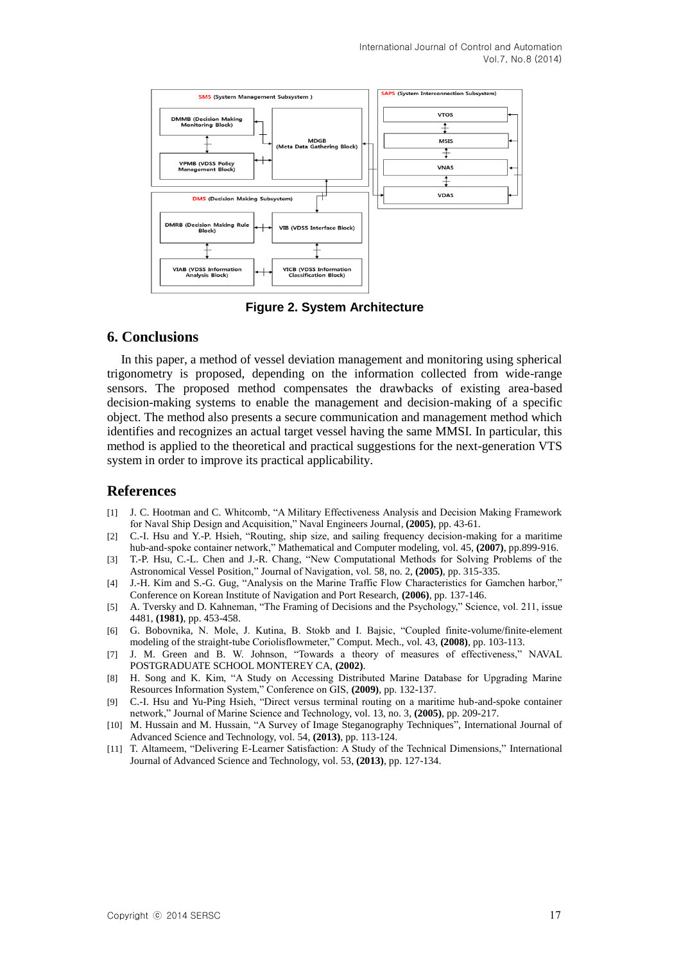

**Figure 2. System Architecture**

## **6. Conclusions**

In this paper, a method of vessel deviation management and monitoring using spherical trigonometry is proposed, depending on the information collected from wide-range sensors. The proposed method compensates the drawbacks of existing area-based decision-making systems to enable the management and decision-making of a specific object. The method also presents a secure communication and management method which identifies and recognizes an actual target vessel having the same MMSI. In particular, this method is applied to the theoretical and practical suggestions for the next-generation VTS system in order to improve its practical applicability.

## **References**

- [1] J. C. Hootman and C. Whitcomb, "A Military Effectiveness Analysis and Decision Making Framework for Naval Ship Design and Acquisition," Naval Engineers Journal, **(2005)**, pp. 43-61.
- [2] C.-I. Hsu and Y.-P. Hsieh, "Routing, ship size, and sailing frequency decision-making for a maritime hub-and-spoke container network," Mathematical and Computer modeling, vol. 45, **(2007)**, pp.899-916.
- [3] T.-P. Hsu, C.-L. Chen and J.-R. Chang, "New Computational Methods for Solving Problems of the Astronomical Vessel Position," Journal of Navigation, vol. 58, no. 2, **(2005)**, pp. 315-335.
- [4] J.-H. Kim and S.-G. Gug, "Analysis on the Marine Traffic Flow Characteristics for Gamchen harbor," Conference on Korean Institute of Navigation and Port Research, **(2006)**, pp. 137-146.
- [5] A. Tversky and D. Kahneman, "The Framing of Decisions and the Psychology," Science, vol. 211, issue 4481, **(1981)**, pp. 453-458.
- [6] G. Bobovnika, N. Mole, J. Kutina, B. Stokb and I. Bajsic, "Coupled finite-volume/finite-element modeling of the straight-tube Coriolisflowmeter," Comput. Mech., vol. 43, **(2008)**, pp. 103-113.
- [7] J. M. Green and B. W. Johnson, "Towards a theory of measures of effectiveness," NAVAL POSTGRADUATE SCHOOL MONTEREY CA, **(2002)**.
- [8] H. Song and K. Kim, "A Study on Accessing Distributed Marine Database for Upgrading Marine Resources Information System," Conference on GIS, **(2009)**, pp. 132-137.
- [9] C.-I. Hsu and Yu-Ping Hsieh, "Direct versus terminal routing on a maritime hub-and-spoke container network," Journal of Marine Science and Technology, vol. 13, no. 3, **(2005)**, pp. 209-217.
- [10] M. Hussain and M. Hussain, "A Survey of Image Steganography Techniques", International Journal of Advanced Science and Technology, vol. 54, **(2013)**, pp. 113-124.
- [11] T. Altameem, "Delivering E-Learner Satisfaction: A Study of the Technical Dimensions," International Journal of Advanced Science and Technology, vol. 53, **(2013)**, pp. 127-134.